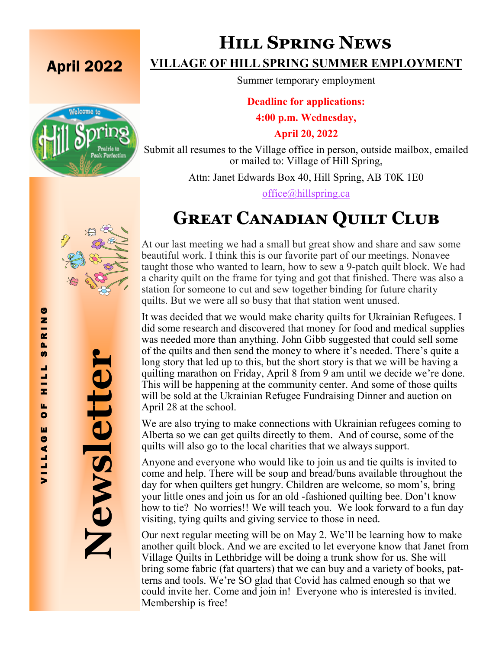

# **Hill Spring News**

Summer temporary employment

**Deadline for applications:** 

**4:00 p.m. Wednesday,**

**April 20, 2022**

Submit all resumes to the Village office in person, outside mailbox, emailed or mailed to: Village of Hill Spring,

Attn: Janet Edwards Box 40, Hill Spring, AB T0K 1E0

[office@hillspring.ca](mailto:office@hillspring.ca)

# **Great Canadian Quilt Club**

At our last meeting we had a small but great show and share and saw some beautiful work. I think this is our favorite part of our meetings. Nonavee taught those who wanted to learn, how to sew a 9-patch quilt block. We had a charity quilt on the frame for tying and got that finished. There was also a station for someone to cut and sew together binding for future charity quilts. But we were all so busy that that station went unused.

It was decided that we would make charity quilts for Ukrainian Refugees. I did some research and discovered that money for food and medical supplies was needed more than anything. John Gibb suggested that could sell some of the quilts and then send the money to where it's needed. There's quite a long story that led up to this, but the short story is that we will be having a quilting marathon on Friday, April 8 from 9 am until we decide we're done. This will be happening at the community center. And some of those quilts will be sold at the Ukrainian Refugee Fundraising Dinner and auction on April 28 at the school. **EXERCISE OF HILL SPRING SUMMER EMPLOYMENT**<br>
Summer temporary employment<br>
2022<br>
2022<br>
2022<br>
2022<br>
2022<br>
2022<br>
2022<br>
2022<br>
2022<br>
2022<br>
2022<br>
2022<br>
2022<br>
2022<br>
2022<br>
2022<br>
2022<br>
2022<br>
2022<br>
2022<br>
2022<br>
2022<br>
2022<br>
2022<br>
2022

We are also trying to make connections with Ukrainian refugees coming to Alberta so we can get quilts directly to them. And of course, some of the quilts will also go to the local charities that we always support.

Anyone and everyone who would like to join us and tie quilts is invited to come and help. There will be soup and bread/buns available throughout the day for when quilters get hungry. Children are welcome, so mom's, bring your little ones and join us for an old -fashioned quilting bee. Don't know how to tie? No worries!! We will teach you. We look forward to a fun day visiting, tying quilts and giving service to those in need.

Our next regular meeting will be on May 2. We'll be learning how to make another quilt block. And we are excited to let everyone know that Janet from Village Quilts in Lethbridge will be doing a trunk show for us. She will bring some fabric (fat quarters) that we can buy and a variety of books, patterns and tools. We're SO glad that Covid has calmed enough so that we could invite her. Come and join in! Everyone who is interested is invited. Membership is free!

**Newsletter**